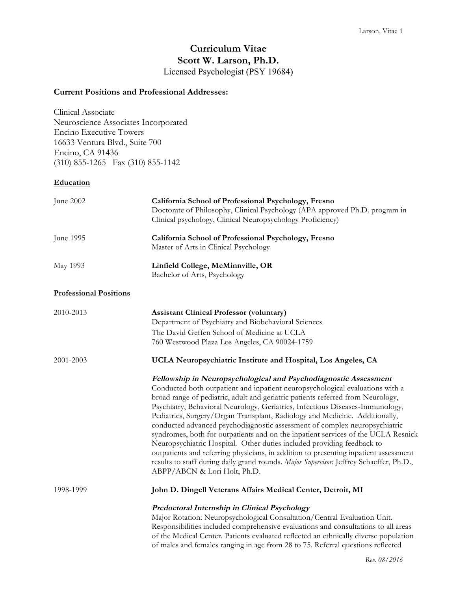# **Curriculum Vitae Scott W. Larson, Ph.D.** Licensed Psychologist (PSY 19684)

## **Current Positions and Professional Addresses:**

Clinical Associate Neuroscience Associates Incorporated Encino Executive Towers 16633 Ventura Blvd., Suite 700 Encino, CA 91436 (310) 855-1265 Fax (310) 855-1142

## **Education**

| June 2002                     | California School of Professional Psychology, Fresno<br>Doctorate of Philosophy, Clinical Psychology (APA approved Ph.D. program in<br>Clinical psychology, Clinical Neuropsychology Proficiency)                                                                                                                                                                                                                                                                                                                                                                                                                                                                                                                                                                                                                                                                    |
|-------------------------------|----------------------------------------------------------------------------------------------------------------------------------------------------------------------------------------------------------------------------------------------------------------------------------------------------------------------------------------------------------------------------------------------------------------------------------------------------------------------------------------------------------------------------------------------------------------------------------------------------------------------------------------------------------------------------------------------------------------------------------------------------------------------------------------------------------------------------------------------------------------------|
| June 1995                     | California School of Professional Psychology, Fresno<br>Master of Arts in Clinical Psychology                                                                                                                                                                                                                                                                                                                                                                                                                                                                                                                                                                                                                                                                                                                                                                        |
| May 1993                      | Linfield College, McMinnville, OR<br>Bachelor of Arts, Psychology                                                                                                                                                                                                                                                                                                                                                                                                                                                                                                                                                                                                                                                                                                                                                                                                    |
| <b>Professional Positions</b> |                                                                                                                                                                                                                                                                                                                                                                                                                                                                                                                                                                                                                                                                                                                                                                                                                                                                      |
| 2010-2013                     | <b>Assistant Clinical Professor (voluntary)</b><br>Department of Psychiatry and Biobehavioral Sciences<br>The David Geffen School of Medicine at UCLA<br>760 Westwood Plaza Los Angeles, CA 90024-1759                                                                                                                                                                                                                                                                                                                                                                                                                                                                                                                                                                                                                                                               |
| 2001-2003                     | UCLA Neuropsychiatric Institute and Hospital, Los Angeles, CA                                                                                                                                                                                                                                                                                                                                                                                                                                                                                                                                                                                                                                                                                                                                                                                                        |
|                               | Fellowship in Neuropsychological and Psychodiagnostic Assessment<br>Conducted both outpatient and inpatient neuropsychological evaluations with a<br>broad range of pediatric, adult and geriatric patients referred from Neurology,<br>Psychiatry, Behavioral Neurology, Geriatrics, Infectious Diseases-Immunology,<br>Pediatrics, Surgery/Organ Transplant, Radiology and Medicine. Additionally,<br>conducted advanced psychodiagnostic assessment of complex neuropsychiatric<br>syndromes, both for outpatients and on the inpatient services of the UCLA Resnick<br>Neuropsychiatric Hospital. Other duties included providing feedback to<br>outpatients and referring physicians, in addition to presenting inpatient assessment<br>results to staff during daily grand rounds. Major Supervisor. Jeffrey Schaeffer, Ph.D.,<br>ABPP/ABCN & Lori Holt, Ph.D. |
| 1998-1999                     | John D. Dingell Veterans Affairs Medical Center, Detroit, MI                                                                                                                                                                                                                                                                                                                                                                                                                                                                                                                                                                                                                                                                                                                                                                                                         |
|                               | Predoctoral Internship in Clinical Psychology<br>Major Rotation: Neuropsychological Consultation/Central Evaluation Unit.<br>Responsibilities included comprehensive evaluations and consultations to all areas<br>of the Medical Center. Patients evaluated reflected an ethnically diverse population<br>of males and females ranging in age from 28 to 75. Referral questions reflected                                                                                                                                                                                                                                                                                                                                                                                                                                                                           |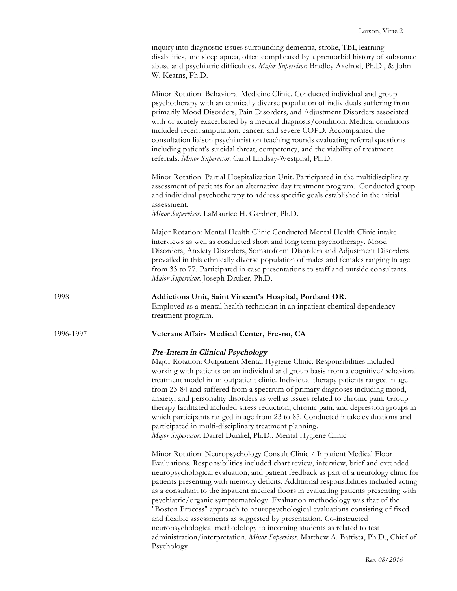|           | inquiry into diagnostic issues surrounding dementia, stroke, TBI, learning<br>disabilities, and sleep apnea, often complicated by a premorbid history of substance<br>abuse and psychiatric difficulties. Major Supervisor. Bradley Axelrod, Ph.D., & John<br>W. Kearns, Ph.D.                                                                                                                                                                                                                                                                                                                                                                                                                                                                                                                                                                                       |
|-----------|----------------------------------------------------------------------------------------------------------------------------------------------------------------------------------------------------------------------------------------------------------------------------------------------------------------------------------------------------------------------------------------------------------------------------------------------------------------------------------------------------------------------------------------------------------------------------------------------------------------------------------------------------------------------------------------------------------------------------------------------------------------------------------------------------------------------------------------------------------------------|
|           | Minor Rotation: Behavioral Medicine Clinic. Conducted individual and group<br>psychotherapy with an ethnically diverse population of individuals suffering from<br>primarily Mood Disorders, Pain Disorders, and Adjustment Disorders associated<br>with or acutely exacerbated by a medical diagnosis/condition. Medical conditions<br>included recent amputation, cancer, and severe COPD. Accompanied the<br>consultation liaison psychiatrist on teaching rounds evaluating referral questions<br>including patient's suicidal threat, competency, and the viability of treatment<br>referrals. Minor Supervisor. Carol Lindsay-Westphal, Ph.D.                                                                                                                                                                                                                  |
|           | Minor Rotation: Partial Hospitalization Unit. Participated in the multidisciplinary<br>assessment of patients for an alternative day treatment program. Conducted group<br>and individual psychotherapy to address specific goals established in the initial<br>assessment.<br>Minor Supervisor. LaMaurice H. Gardner, Ph.D.                                                                                                                                                                                                                                                                                                                                                                                                                                                                                                                                         |
|           | Major Rotation: Mental Health Clinic Conducted Mental Health Clinic intake<br>interviews as well as conducted short and long term psychotherapy. Mood<br>Disorders, Anxiety Disorders, Somatoform Disorders and Adjustment Disorders<br>prevailed in this ethnically diverse population of males and females ranging in age<br>from 33 to 77. Participated in case presentations to staff and outside consultants.<br>Major Supervisor. Joseph Druker, Ph.D.                                                                                                                                                                                                                                                                                                                                                                                                         |
| 1998      | Addictions Unit, Saint Vincent's Hospital, Portland OR.<br>Employed as a mental health technician in an inpatient chemical dependency<br>treatment program.                                                                                                                                                                                                                                                                                                                                                                                                                                                                                                                                                                                                                                                                                                          |
| 1996-1997 | Veterans Affairs Medical Center, Fresno, CA                                                                                                                                                                                                                                                                                                                                                                                                                                                                                                                                                                                                                                                                                                                                                                                                                          |
|           | <b>Pre-Intern in Clinical Psychology</b><br>Major Rotation: Outpatient Mental Hygiene Clinic. Responsibilities included<br>working with patients on an individual and group basis from a cognitive/behavioral<br>treatment model in an outpatient clinic. Individual therapy patients ranged in age<br>from 23-84 and suffered from a spectrum of primary diagnoses including mood,<br>anxiety, and personality disorders as well as issues related to chronic pain. Group<br>therapy facilitated included stress reduction, chronic pain, and depression groups in<br>which participants ranged in age from 23 to 85. Conducted intake evaluations and<br>participated in multi-disciplinary treatment planning.<br>Major Supervisor. Darrel Dunkel, Ph.D., Mental Hygiene Clinic                                                                                   |
|           | Minor Rotation: Neuropsychology Consult Clinic / Inpatient Medical Floor<br>Evaluations. Responsibilities included chart review, interview, brief and extended<br>neuropsychological evaluation, and patient feedback as part of a neurology clinic for<br>patients presenting with memory deficits. Additional responsibilities included acting<br>as a consultant to the inpatient medical floors in evaluating patients presenting with<br>psychiatric/organic symptomatology. Evaluation methodology was that of the<br>"Boston Process" approach to neuropsychological evaluations consisting of fixed<br>and flexible assessments as suggested by presentation. Co-instructed<br>neuropsychological methodology to incoming students as related to test<br>administration/interpretation. Minor Supervisor. Matthew A. Battista, Ph.D., Chief of<br>Psychology |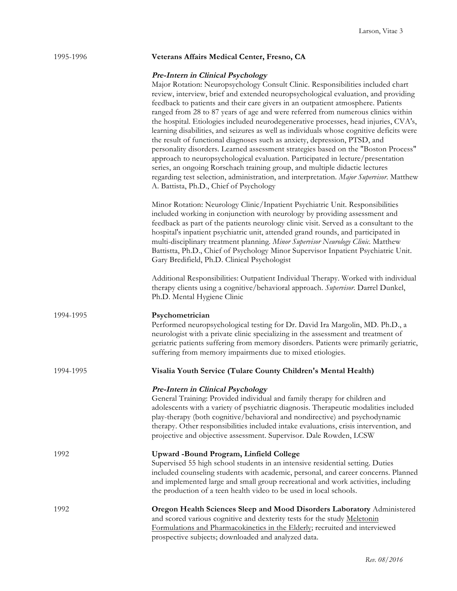# 1995-1996 **Veterans Affairs Medical Center, Fresno, CA**

## **Pre-Intern in Clinical Psychology**

|           | Major Rotation: Neuropsychology Consult Clinic. Responsibilities included chart<br>review, interview, brief and extended neuropsychological evaluation, and providing<br>feedback to patients and their care givers in an outpatient atmosphere. Patients<br>ranged from 28 to 87 years of age and were referred from numerous clinics within<br>the hospital. Etiologies included neurodegenerative processes, head injuries, CVA's,<br>learning disabilities, and seizures as well as individuals whose cognitive deficits were<br>the result of functional diagnoses such as anxiety, depression, PTSD, and<br>personality disorders. Learned assessment strategies based on the "Boston Process"<br>approach to neuropsychological evaluation. Participated in lecture/presentation<br>series, an ongoing Rorschach training group, and multiple didactic lectures<br>regarding test selection, administration, and interpretation. Major Supervisor. Matthew<br>A. Battista, Ph.D., Chief of Psychology |
|-----------|--------------------------------------------------------------------------------------------------------------------------------------------------------------------------------------------------------------------------------------------------------------------------------------------------------------------------------------------------------------------------------------------------------------------------------------------------------------------------------------------------------------------------------------------------------------------------------------------------------------------------------------------------------------------------------------------------------------------------------------------------------------------------------------------------------------------------------------------------------------------------------------------------------------------------------------------------------------------------------------------------------------|
|           | Minor Rotation: Neurology Clinic/Inpatient Psychiatric Unit. Responsibilities<br>included working in conjunction with neurology by providing assessment and<br>feedback as part of the patients neurology clinic visit. Served as a consultant to the<br>hospital's inpatient psychiatric unit, attended grand rounds, and participated in<br>multi-disciplinary treatment planning. Minor Supervisor Neurology Clinic. Matthew<br>Battistta, Ph.D., Chief of Psychology Minor Supervisor Inpatient Psychiatric Unit.<br>Gary Bredifield, Ph.D. Clinical Psychologist                                                                                                                                                                                                                                                                                                                                                                                                                                        |
|           | Additional Responsibilities: Outpatient Individual Therapy. Worked with individual<br>therapy clients using a cognitive/behavioral approach. Supervisor. Darrel Dunkel,<br>Ph.D. Mental Hygiene Clinic                                                                                                                                                                                                                                                                                                                                                                                                                                                                                                                                                                                                                                                                                                                                                                                                       |
| 1994-1995 | Psychometrician<br>Performed neuropsychological testing for Dr. David Ira Margolin, MD. Ph.D., a<br>neurologist with a private clinic specializing in the assessment and treatment of<br>geriatric patients suffering from memory disorders. Patients were primarily geriatric,<br>suffering from memory impairments due to mixed etiologies.                                                                                                                                                                                                                                                                                                                                                                                                                                                                                                                                                                                                                                                                |
| 1994-1995 | Visalia Youth Service (Tulare County Children's Mental Health)                                                                                                                                                                                                                                                                                                                                                                                                                                                                                                                                                                                                                                                                                                                                                                                                                                                                                                                                               |
|           | Pre-Intern in Clinical Psychology<br>General Training: Provided individual and family therapy for children and<br>adolescents with a variety of psychiatric diagnosis. Therapeutic modalities included<br>play-therapy (both cognitive/behavioral and nondirective) and psychodynamic<br>therapy. Other responsibilities included intake evaluations, crisis intervention, and<br>projective and objective assessment. Supervisor. Dale Rowden, LCSW                                                                                                                                                                                                                                                                                                                                                                                                                                                                                                                                                         |
| 1992      | Upward -Bound Program, Linfield College<br>Supervised 55 high school students in an intensive residential setting. Duties<br>included counseling students with academic, personal, and career concerns. Planned<br>and implemented large and small group recreational and work activities, including<br>the production of a teen health video to be used in local schools.                                                                                                                                                                                                                                                                                                                                                                                                                                                                                                                                                                                                                                   |
| 1992      | Oregon Health Sciences Sleep and Mood Disorders Laboratory Administered<br>and scored various cognitive and dexterity tests for the study Meletonin<br>Formulations and Pharmacokinetics in the Elderly; recruited and interviewed<br>prospective subjects; downloaded and analyzed data.                                                                                                                                                                                                                                                                                                                                                                                                                                                                                                                                                                                                                                                                                                                    |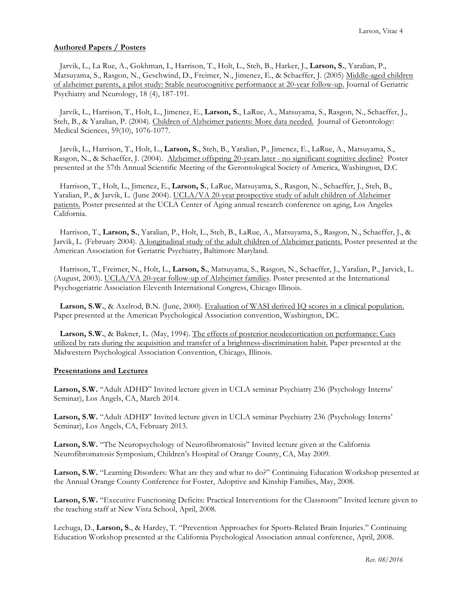## **Authored Papers / Posters**

 Jarvik, L., La Rue, A., Gokhman, I., Harrison, T., Holt, L., Steh, B., Harker, J., **Larson, S.**, Yaralian, P., Matsuyama, S., Rasgon, N., Geschwind, D., Freimer, N., Jimenez, E., & Schaeffer, J. (2005) Middle-aged children of alzheimer parents, a pilot study: Stable neurocognitive performance at 20-year follow-up. Journal of Geriatric Psychiatry and Neurology, 18 (4), 187-191.

 Jarvik, L., Harrison, T., Holt, L., Jimenez, E., **Larson, S.**, LaRue, A., Matsuyama, S., Rasgon, N., Schaeffer, J., Steh, B., & Yaralian, P. (2004). Children of Alzheimer patients: More data needed. Journal of Gerontology: Medical Sciences, 59(10), 1076-1077.

 Jarvik, L., Harrison, T., Holt, L., **Larson, S.**, Steh, B., Yaralian, P., Jimenez, E., LaRue, A., Matsuyama, S., Rasgon, N., & Schaeffer, J. (2004). Alzheimer offspring 20-years later - no significant cognitive decline? Poster presented at the 57th Annual Scientific Meeting of the Gerontological Society of America, Washington, D.C

 Harrison, T., Holt, L., Jimenez, E., **Larson, S.**, LaRue, Matsuyama, S., Rasgon, N., Schaeffer, J., Steh, B., Yaralian, P., & Jarvik, L. (June 2004). UCLA/VA 20-yeat prospective study of adult children of Alzheimer patients. Poster presented at the UCLA Center of Aging annual research conference on aging, Los Angeles California.

 Harrison, T., **Larson, S.**, Yaralian, P., Holt, L., Steh, B., LaRue, A., Matsuyama, S., Rasgon, N., Schaeffer, J., & Jarvik, L. (February 2004). A longitudinal study of the adult children of Alzheimer patients. Poster presented at the American Association for Geriatric Psychiatry, Baltimore Maryland.

 Harrison, T., Freimer, N., Holt, L., **Larson, S.**, Matsuyama, S., Rasgon, N., Schaeffer, J., Yaralian, P., Jarvick, L. (August, 2003). UCLA/VA 20-year follow-up of Alzheimer families. Poster presented at the International Psychogeriatric Association Eleventh International Congress, Chicago Illinois.

 **Larson, S.W.**, & Axelrod, B.N. (June, 2000). Evaluation of WASI derived IQ scores in a clinical population. Paper presented at the American Psychological Association convention, Washington, DC.

 **Larson, S.W.**, & Bakner, L. (May, 1994). The effects of posterior neodecortication on performance: Cues utilized by rats during the acquisition and transfer of a brightness-discrimination habit. Paper presented at the Midwestern Psychological Association Convention, Chicago, Illinois.

### **Presentations and Lectures**

**Larson, S.W.** "Adult ADHD" Invited lecture given in UCLA seminar Psychiatry 236 (Psychology Interns' Seminar), Los Angels, CA, March 2014.

**Larson, S.W.** "Adult ADHD" Invited lecture given in UCLA seminar Psychiatry 236 (Psychology Interns' Seminar), Los Angels, CA, February 2013.

**Larson, S.W.** "The Neuropsychology of Neurofibromatosis" Invited lecture given at the California Neurofibromatosis Symposium, Children's Hospital of Orange County, CA, May 2009.

**Larson, S.W.** "Learning Disorders: What are they and what to do?" Continuing Education Workshop presented at the Annual Orange County Conference for Foster, Adoptive and Kinship Families, May, 2008.

**Larson, S.W.** "Executive Functioning Deficits: Practical Interventions for the Classroom" Invited lecture given to the teaching staff at New Vista School, April, 2008.

Lechuga, D., **Larson, S.**, & Hardey, T. "Prevention Approaches for Sports-Related Brain Injuries." Continuing Education Workshop presented at the California Psychological Association annual conference, April, 2008.